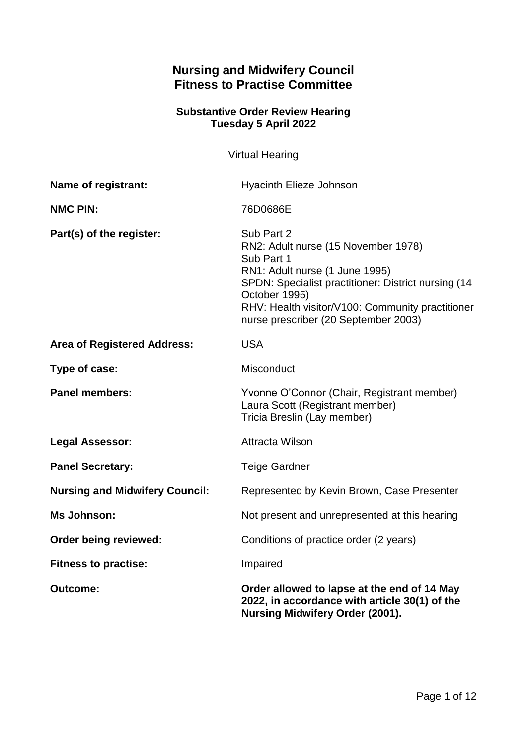# **Nursing and Midwifery Council Fitness to Practise Committee**

## **Substantive Order Review Hearing Tuesday 5 April 2022**

Virtual Hearing

| Name of registrant:                   | Hyacinth Elieze Johnson                                                                                                                                                                                                                                               |
|---------------------------------------|-----------------------------------------------------------------------------------------------------------------------------------------------------------------------------------------------------------------------------------------------------------------------|
| <b>NMC PIN:</b>                       | 76D0686E                                                                                                                                                                                                                                                              |
| Part(s) of the register:              | Sub Part 2<br>RN2: Adult nurse (15 November 1978)<br>Sub Part 1<br>RN1: Adult nurse (1 June 1995)<br>SPDN: Specialist practitioner: District nursing (14<br>October 1995)<br>RHV: Health visitor/V100: Community practitioner<br>nurse prescriber (20 September 2003) |
| <b>Area of Registered Address:</b>    | <b>USA</b>                                                                                                                                                                                                                                                            |
| Type of case:                         | Misconduct                                                                                                                                                                                                                                                            |
| <b>Panel members:</b>                 | Yvonne O'Connor (Chair, Registrant member)<br>Laura Scott (Registrant member)<br>Tricia Breslin (Lay member)                                                                                                                                                          |
| <b>Legal Assessor:</b>                | <b>Attracta Wilson</b>                                                                                                                                                                                                                                                |
| <b>Panel Secretary:</b>               | <b>Teige Gardner</b>                                                                                                                                                                                                                                                  |
| <b>Nursing and Midwifery Council:</b> | Represented by Kevin Brown, Case Presenter                                                                                                                                                                                                                            |
| <b>Ms Johnson:</b>                    | Not present and unrepresented at this hearing                                                                                                                                                                                                                         |
| Order being reviewed:                 | Conditions of practice order (2 years)                                                                                                                                                                                                                                |
| <b>Fitness to practise:</b>           | Impaired                                                                                                                                                                                                                                                              |
| <b>Outcome:</b>                       | Order allowed to lapse at the end of 14 May<br>2022, in accordance with article 30(1) of the<br><b>Nursing Midwifery Order (2001).</b>                                                                                                                                |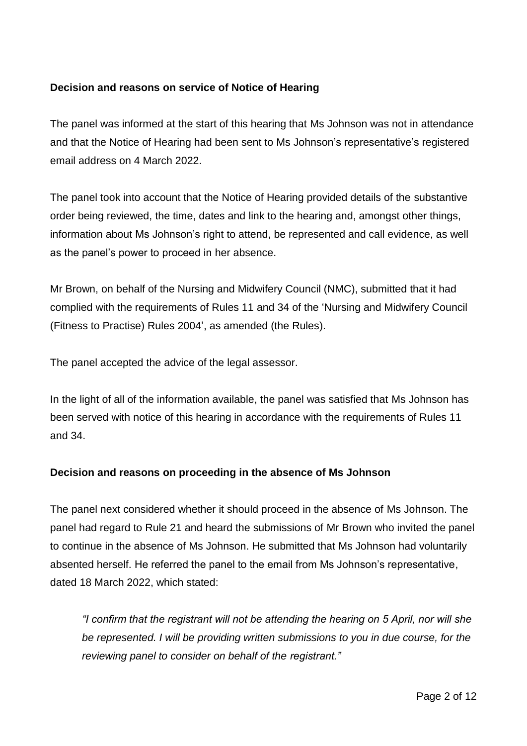### **Decision and reasons on service of Notice of Hearing**

The panel was informed at the start of this hearing that Ms Johnson was not in attendance and that the Notice of Hearing had been sent to Ms Johnson's representative's registered email address on 4 March 2022.

The panel took into account that the Notice of Hearing provided details of the substantive order being reviewed, the time, dates and link to the hearing and, amongst other things, information about Ms Johnson's right to attend, be represented and call evidence, as well as the panel's power to proceed in her absence.

Mr Brown, on behalf of the Nursing and Midwifery Council (NMC), submitted that it had complied with the requirements of Rules 11 and 34 of the 'Nursing and Midwifery Council (Fitness to Practise) Rules 2004', as amended (the Rules).

The panel accepted the advice of the legal assessor.

In the light of all of the information available, the panel was satisfied that Ms Johnson has been served with notice of this hearing in accordance with the requirements of Rules 11 and 34.

### **Decision and reasons on proceeding in the absence of Ms Johnson**

The panel next considered whether it should proceed in the absence of Ms Johnson. The panel had regard to Rule 21 and heard the submissions of Mr Brown who invited the panel to continue in the absence of Ms Johnson. He submitted that Ms Johnson had voluntarily absented herself. He referred the panel to the email from Ms Johnson's representative, dated 18 March 2022, which stated:

*"I confirm that the registrant will not be attending the hearing on 5 April, nor will she be represented. I will be providing written submissions to you in due course, for the reviewing panel to consider on behalf of the registrant."*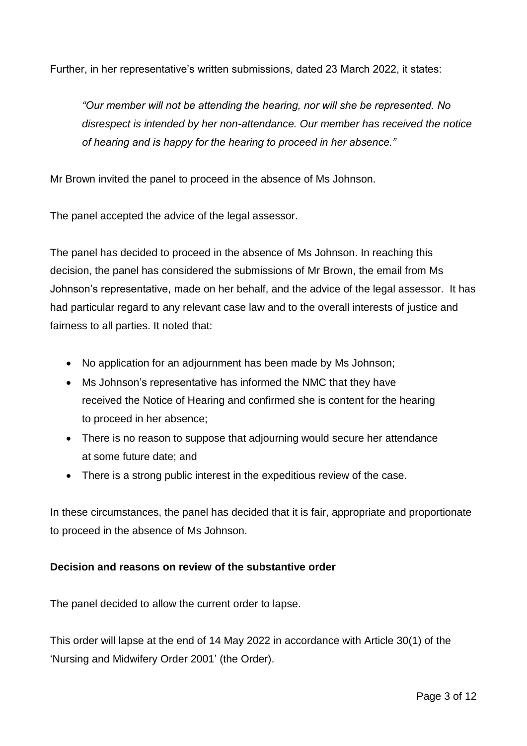Further, in her representative's written submissions, dated 23 March 2022, it states:

*"Our member will not be attending the hearing, nor will she be represented. No disrespect is intended by her non-attendance. Our member has received the notice of hearing and is happy for the hearing to proceed in her absence."*

Mr Brown invited the panel to proceed in the absence of Ms Johnson.

The panel accepted the advice of the legal assessor.

The panel has decided to proceed in the absence of Ms Johnson. In reaching this decision, the panel has considered the submissions of Mr Brown, the email from Ms Johnson's representative, made on her behalf, and the advice of the legal assessor. It has had particular regard to any relevant case law and to the overall interests of justice and fairness to all parties. It noted that:

- No application for an adjournment has been made by Ms Johnson;
- Ms Johnson's representative has informed the NMC that they have received the Notice of Hearing and confirmed she is content for the hearing to proceed in her absence;
- There is no reason to suppose that adjourning would secure her attendance at some future date; and
- There is a strong public interest in the expeditious review of the case.

In these circumstances, the panel has decided that it is fair, appropriate and proportionate to proceed in the absence of Ms Johnson.

#### **Decision and reasons on review of the substantive order**

The panel decided to allow the current order to lapse.

This order will lapse at the end of 14 May 2022 in accordance with Article 30(1) of the 'Nursing and Midwifery Order 2001' (the Order).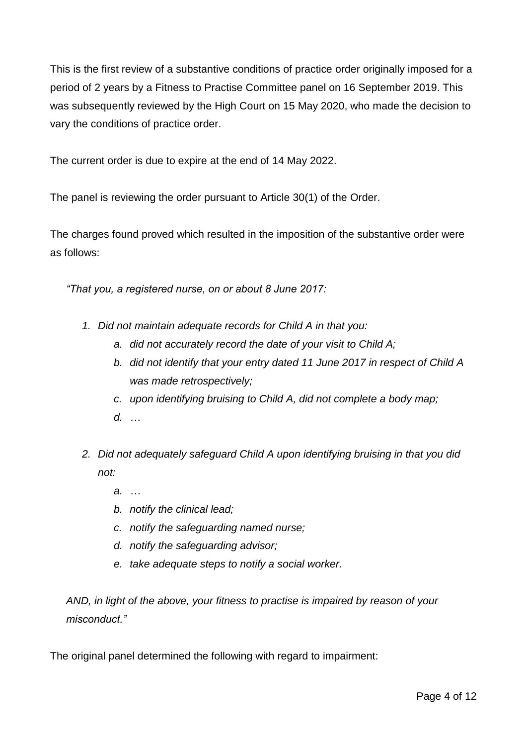This is the first review of a substantive conditions of practice order originally imposed for a period of 2 years by a Fitness to Practise Committee panel on 16 September 2019. This was subsequently reviewed by the High Court on 15 May 2020, who made the decision to vary the conditions of practice order.

The current order is due to expire at the end of 14 May 2022.

The panel is reviewing the order pursuant to Article 30(1) of the Order.

The charges found proved which resulted in the imposition of the substantive order were as follows:

*"That you, a registered nurse, on or about 8 June 2017:*

- *1. Did not maintain adequate records for Child A in that you:*
	- *a. did not accurately record the date of your visit to Child A;*
	- *b. did not identify that your entry dated 11 June 2017 in respect of Child A was made retrospectively;*
	- *c. upon identifying bruising to Child A, did not complete a body map;*
	- *d. …*
- *2. Did not adequately safeguard Child A upon identifying bruising in that you did not:* 
	- *a. …*
	- *b. notify the clinical lead;*
	- *c. notify the safeguarding named nurse;*
	- *d. notify the safeguarding advisor;*
	- *e. take adequate steps to notify a social worker.*

*AND, in light of the above, your fitness to practise is impaired by reason of your misconduct."*

The original panel determined the following with regard to impairment: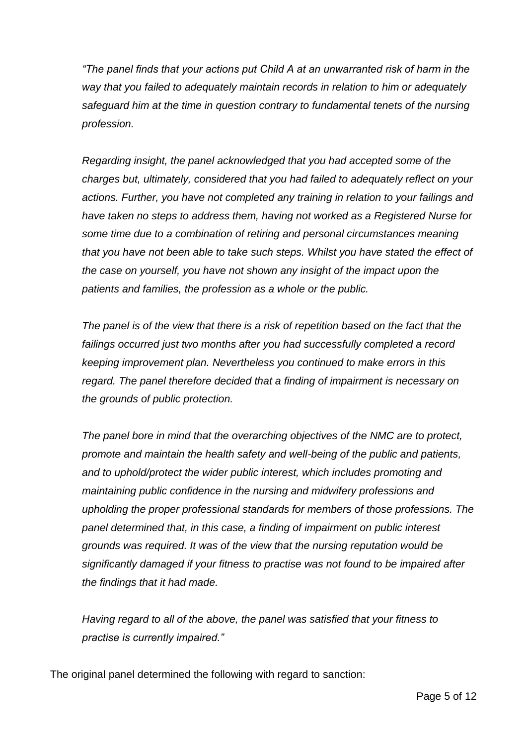*"The panel finds that your actions put Child A at an unwarranted risk of harm in the way that you failed to adequately maintain records in relation to him or adequately safeguard him at the time in question contrary to fundamental tenets of the nursing profession.* 

*Regarding insight, the panel acknowledged that you had accepted some of the charges but, ultimately, considered that you had failed to adequately reflect on your actions. Further, you have not completed any training in relation to your failings and have taken no steps to address them, having not worked as a Registered Nurse for some time due to a combination of retiring and personal circumstances meaning that you have not been able to take such steps. Whilst you have stated the effect of the case on yourself, you have not shown any insight of the impact upon the patients and families, the profession as a whole or the public.* 

*The panel is of the view that there is a risk of repetition based on the fact that the failings occurred just two months after you had successfully completed a record keeping improvement plan. Nevertheless you continued to make errors in this regard. The panel therefore decided that a finding of impairment is necessary on the grounds of public protection.* 

*The panel bore in mind that the overarching objectives of the NMC are to protect, promote and maintain the health safety and well-being of the public and patients, and to uphold/protect the wider public interest, which includes promoting and maintaining public confidence in the nursing and midwifery professions and upholding the proper professional standards for members of those professions. The panel determined that, in this case, a finding of impairment on public interest grounds was required. It was of the view that the nursing reputation would be significantly damaged if your fitness to practise was not found to be impaired after the findings that it had made.* 

*Having regard to all of the above, the panel was satisfied that your fitness to practise is currently impaired."*

The original panel determined the following with regard to sanction: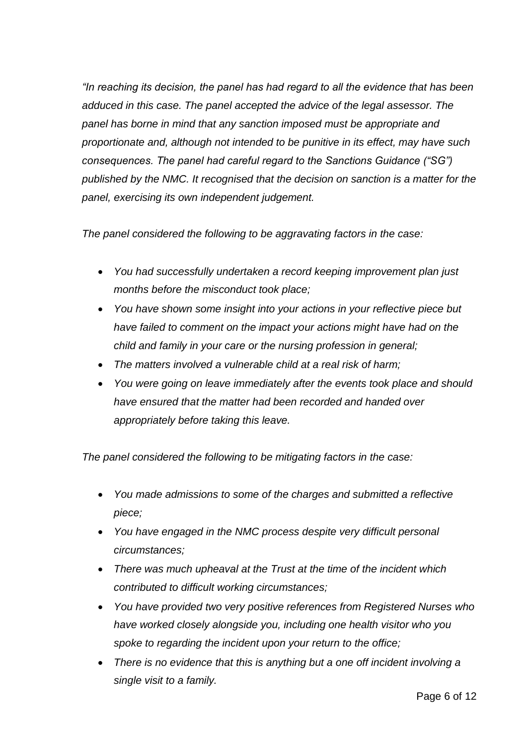*"In reaching its decision, the panel has had regard to all the evidence that has been adduced in this case. The panel accepted the advice of the legal assessor. The panel has borne in mind that any sanction imposed must be appropriate and proportionate and, although not intended to be punitive in its effect, may have such consequences. The panel had careful regard to the Sanctions Guidance ("SG") published by the NMC. It recognised that the decision on sanction is a matter for the panel, exercising its own independent judgement.* 

*The panel considered the following to be aggravating factors in the case:*

- *You had successfully undertaken a record keeping improvement plan just months before the misconduct took place;*
- *You have shown some insight into your actions in your reflective piece but have failed to comment on the impact your actions might have had on the child and family in your care or the nursing profession in general;*
- *The matters involved a vulnerable child at a real risk of harm;*
- *You were going on leave immediately after the events took place and should have ensured that the matter had been recorded and handed over appropriately before taking this leave.*

*The panel considered the following to be mitigating factors in the case:*

- *You made admissions to some of the charges and submitted a reflective piece;*
- *You have engaged in the NMC process despite very difficult personal circumstances;*
- *There was much upheaval at the Trust at the time of the incident which contributed to difficult working circumstances;*
- *You have provided two very positive references from Registered Nurses who have worked closely alongside you, including one health visitor who you spoke to regarding the incident upon your return to the office;*
- *There is no evidence that this is anything but a one off incident involving a single visit to a family.*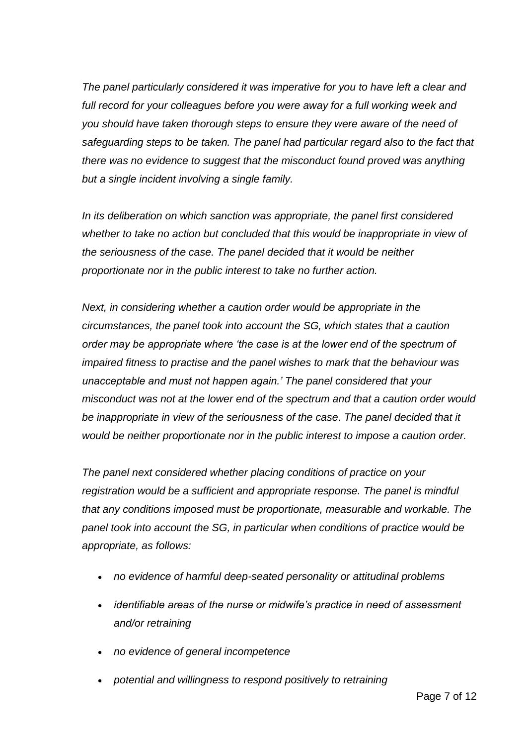*The panel particularly considered it was imperative for you to have left a clear and*  full record for your colleagues before you were away for a full working week and *you should have taken thorough steps to ensure they were aware of the need of safeguarding steps to be taken. The panel had particular regard also to the fact that there was no evidence to suggest that the misconduct found proved was anything but a single incident involving a single family.* 

*In its deliberation on which sanction was appropriate, the panel first considered whether to take no action but concluded that this would be inappropriate in view of the seriousness of the case. The panel decided that it would be neither proportionate nor in the public interest to take no further action.*

*Next, in considering whether a caution order would be appropriate in the circumstances, the panel took into account the SG, which states that a caution order may be appropriate where 'the case is at the lower end of the spectrum of impaired fitness to practise and the panel wishes to mark that the behaviour was unacceptable and must not happen again.' The panel considered that your misconduct was not at the lower end of the spectrum and that a caution order would*  be inappropriate in view of the seriousness of the case. The panel decided that it *would be neither proportionate nor in the public interest to impose a caution order.*

*The panel next considered whether placing conditions of practice on your registration would be a sufficient and appropriate response. The panel is mindful that any conditions imposed must be proportionate, measurable and workable. The panel took into account the SG, in particular when conditions of practice would be appropriate, as follows:*

- *no evidence of harmful deep-seated personality or attitudinal problems*
- *identifiable areas of the nurse or midwife's practice in need of assessment and/or retraining*
- *no evidence of general incompetence*
- *potential and willingness to respond positively to retraining*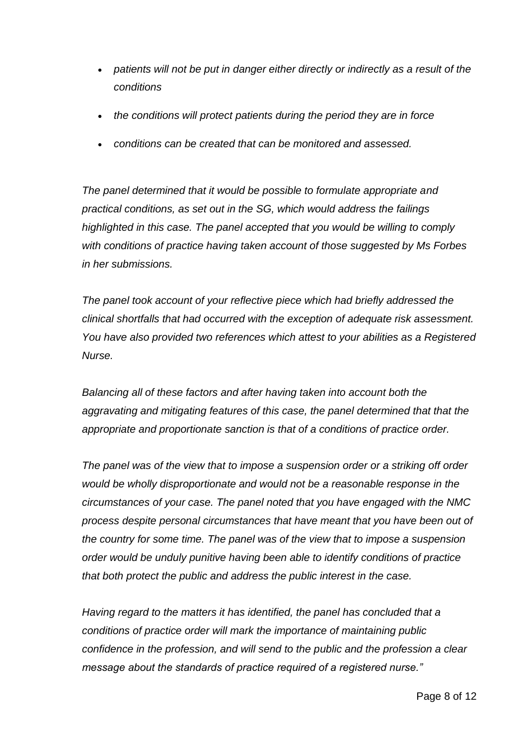- *patients will not be put in danger either directly or indirectly as a result of the conditions*
- *the conditions will protect patients during the period they are in force*
- *conditions can be created that can be monitored and assessed.*

*The panel determined that it would be possible to formulate appropriate and practical conditions, as set out in the SG, which would address the failings highlighted in this case. The panel accepted that you would be willing to comply with conditions of practice having taken account of those suggested by Ms Forbes in her submissions.*

*The panel took account of your reflective piece which had briefly addressed the clinical shortfalls that had occurred with the exception of adequate risk assessment. You have also provided two references which attest to your abilities as a Registered Nurse.*

*Balancing all of these factors and after having taken into account both the aggravating and mitigating features of this case, the panel determined that that the appropriate and proportionate sanction is that of a conditions of practice order.*

*The panel was of the view that to impose a suspension order or a striking off order would be wholly disproportionate and would not be a reasonable response in the circumstances of your case. The panel noted that you have engaged with the NMC process despite personal circumstances that have meant that you have been out of the country for some time. The panel was of the view that to impose a suspension order would be unduly punitive having been able to identify conditions of practice that both protect the public and address the public interest in the case.* 

*Having regard to the matters it has identified, the panel has concluded that a conditions of practice order will mark the importance of maintaining public confidence in the profession, and will send to the public and the profession a clear message about the standards of practice required of a registered nurse."*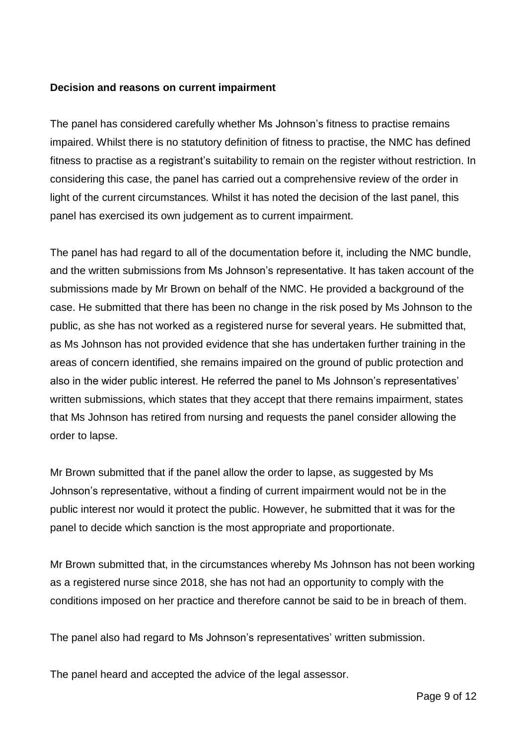### **Decision and reasons on current impairment**

The panel has considered carefully whether Ms Johnson's fitness to practise remains impaired. Whilst there is no statutory definition of fitness to practise, the NMC has defined fitness to practise as a registrant's suitability to remain on the register without restriction. In considering this case, the panel has carried out a comprehensive review of the order in light of the current circumstances. Whilst it has noted the decision of the last panel, this panel has exercised its own judgement as to current impairment.

The panel has had regard to all of the documentation before it, including the NMC bundle, and the written submissions from Ms Johnson's representative. It has taken account of the submissions made by Mr Brown on behalf of the NMC. He provided a background of the case. He submitted that there has been no change in the risk posed by Ms Johnson to the public, as she has not worked as a registered nurse for several years. He submitted that, as Ms Johnson has not provided evidence that she has undertaken further training in the areas of concern identified, she remains impaired on the ground of public protection and also in the wider public interest. He referred the panel to Ms Johnson's representatives' written submissions, which states that they accept that there remains impairment, states that Ms Johnson has retired from nursing and requests the panel consider allowing the order to lapse.

Mr Brown submitted that if the panel allow the order to lapse, as suggested by Ms Johnson's representative, without a finding of current impairment would not be in the public interest nor would it protect the public. However, he submitted that it was for the panel to decide which sanction is the most appropriate and proportionate.

Mr Brown submitted that, in the circumstances whereby Ms Johnson has not been working as a registered nurse since 2018, she has not had an opportunity to comply with the conditions imposed on her practice and therefore cannot be said to be in breach of them.

The panel also had regard to Ms Johnson's representatives' written submission.

The panel heard and accepted the advice of the legal assessor.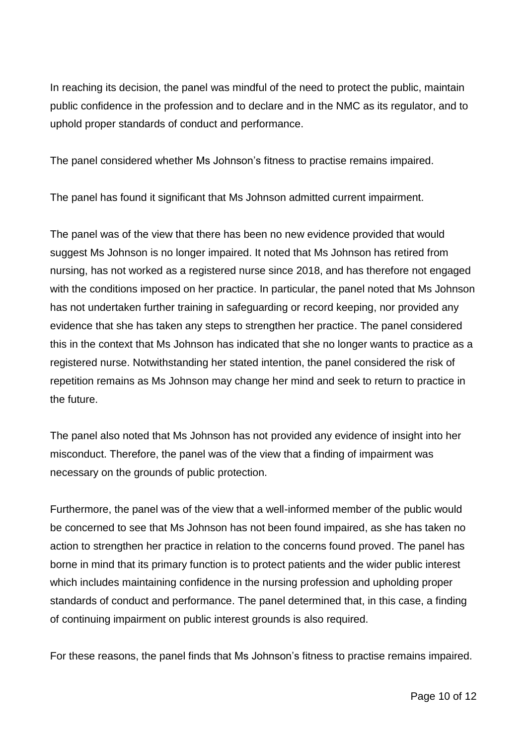In reaching its decision, the panel was mindful of the need to protect the public, maintain public confidence in the profession and to declare and in the NMC as its regulator, and to uphold proper standards of conduct and performance.

The panel considered whether Ms Johnson's fitness to practise remains impaired.

The panel has found it significant that Ms Johnson admitted current impairment.

The panel was of the view that there has been no new evidence provided that would suggest Ms Johnson is no longer impaired. It noted that Ms Johnson has retired from nursing, has not worked as a registered nurse since 2018, and has therefore not engaged with the conditions imposed on her practice. In particular, the panel noted that Ms Johnson has not undertaken further training in safeguarding or record keeping, nor provided any evidence that she has taken any steps to strengthen her practice. The panel considered this in the context that Ms Johnson has indicated that she no longer wants to practice as a registered nurse. Notwithstanding her stated intention, the panel considered the risk of repetition remains as Ms Johnson may change her mind and seek to return to practice in the future.

The panel also noted that Ms Johnson has not provided any evidence of insight into her misconduct. Therefore, the panel was of the view that a finding of impairment was necessary on the grounds of public protection.

Furthermore, the panel was of the view that a well-informed member of the public would be concerned to see that Ms Johnson has not been found impaired, as she has taken no action to strengthen her practice in relation to the concerns found proved. The panel has borne in mind that its primary function is to protect patients and the wider public interest which includes maintaining confidence in the nursing profession and upholding proper standards of conduct and performance. The panel determined that, in this case, a finding of continuing impairment on public interest grounds is also required.

For these reasons, the panel finds that Ms Johnson's fitness to practise remains impaired.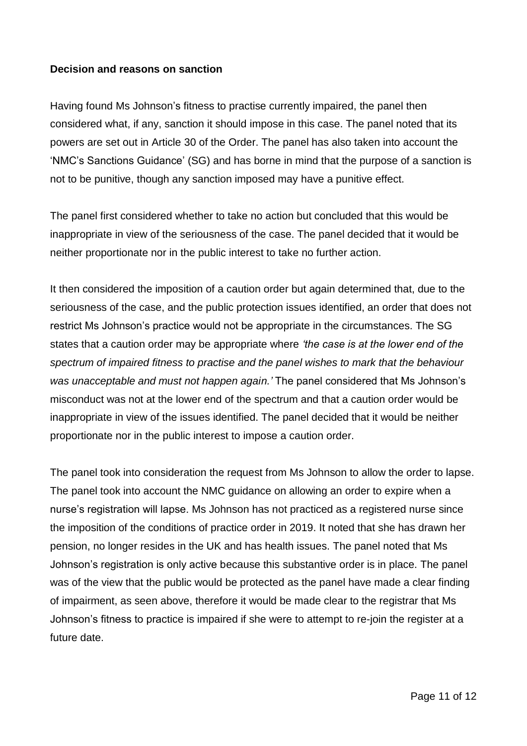#### **Decision and reasons on sanction**

Having found Ms Johnson's fitness to practise currently impaired, the panel then considered what, if any, sanction it should impose in this case. The panel noted that its powers are set out in Article 30 of the Order. The panel has also taken into account the 'NMC's Sanctions Guidance' (SG) and has borne in mind that the purpose of a sanction is not to be punitive, though any sanction imposed may have a punitive effect.

The panel first considered whether to take no action but concluded that this would be inappropriate in view of the seriousness of the case. The panel decided that it would be neither proportionate nor in the public interest to take no further action.

It then considered the imposition of a caution order but again determined that, due to the seriousness of the case, and the public protection issues identified, an order that does not restrict Ms Johnson's practice would not be appropriate in the circumstances. The SG states that a caution order may be appropriate where *'the case is at the lower end of the spectrum of impaired fitness to practise and the panel wishes to mark that the behaviour was unacceptable and must not happen again.'* The panel considered that Ms Johnson's misconduct was not at the lower end of the spectrum and that a caution order would be inappropriate in view of the issues identified. The panel decided that it would be neither proportionate nor in the public interest to impose a caution order.

The panel took into consideration the request from Ms Johnson to allow the order to lapse. The panel took into account the NMC guidance on allowing an order to expire when a nurse's registration will lapse. Ms Johnson has not practiced as a registered nurse since the imposition of the conditions of practice order in 2019. It noted that she has drawn her pension, no longer resides in the UK and has health issues. The panel noted that Ms Johnson's registration is only active because this substantive order is in place. The panel was of the view that the public would be protected as the panel have made a clear finding of impairment, as seen above, therefore it would be made clear to the registrar that Ms Johnson's fitness to practice is impaired if she were to attempt to re-join the register at a future date.